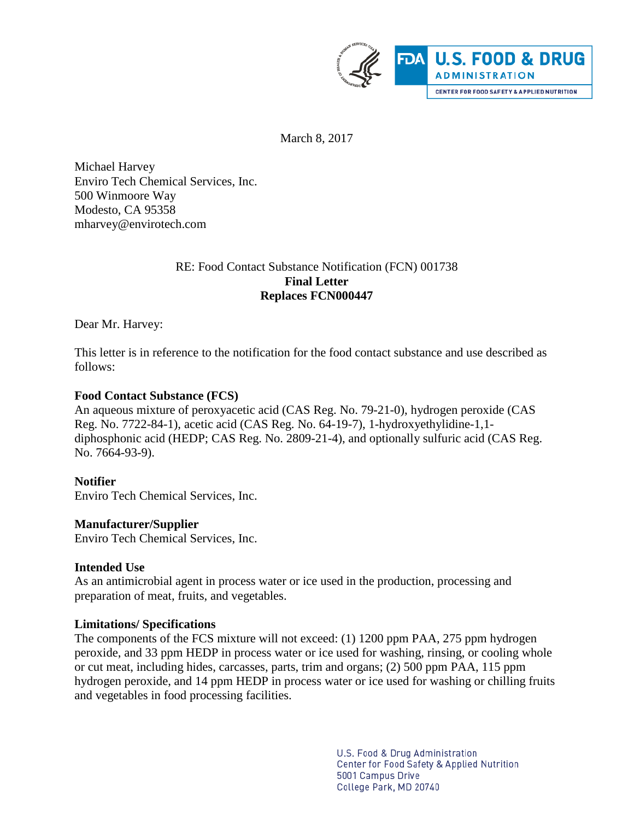

March 8, 2017

Michael Harvey Enviro Tech Chemical Services, Inc. 500 Winmoore Way Modesto, CA 95358 mharvey@envirotech.com

## RE: Food Contact Substance Notification (FCN) 001738 **Final Letter Replaces FCN000447**

Dear Mr. Harvey:

This letter is in reference to the notification for the food contact substance and use described as follows:

## **Food Contact Substance (FCS)**

An aqueous mixture of peroxyacetic acid (CAS Reg. No. 79-21-0), hydrogen peroxide (CAS Reg. No. 7722-84-1), acetic acid (CAS Reg. No. 64-19-7), 1-hydroxyethylidine-1,1 diphosphonic acid (HEDP; CAS Reg. No. 2809-21-4), and optionally sulfuric acid (CAS Reg. No. 7664-93-9).

## **Notifier**

Enviro Tech Chemical Services, Inc.

## **Manufacturer/Supplier**

Enviro Tech Chemical Services, Inc.

## **Intended Use**

As an antimicrobial agent in process water or ice used in the production, processing and preparation of meat, fruits, and vegetables.

## **Limitations/ Specifications**

The components of the FCS mixture will not exceed: (1) 1200 ppm PAA, 275 ppm hydrogen peroxide, and 33 ppm HEDP in process water or ice used for washing, rinsing, or cooling whole or cut meat, including hides, carcasses, parts, trim and organs; (2) 500 ppm PAA, 115 ppm hydrogen peroxide, and 14 ppm HEDP in process water or ice used for washing or chilling fruits and vegetables in food processing facilities.

> U.S. Food & Drug Administration Center for Food Safety & Applied Nutrition 5001 Campus Drive College Park, MD 20740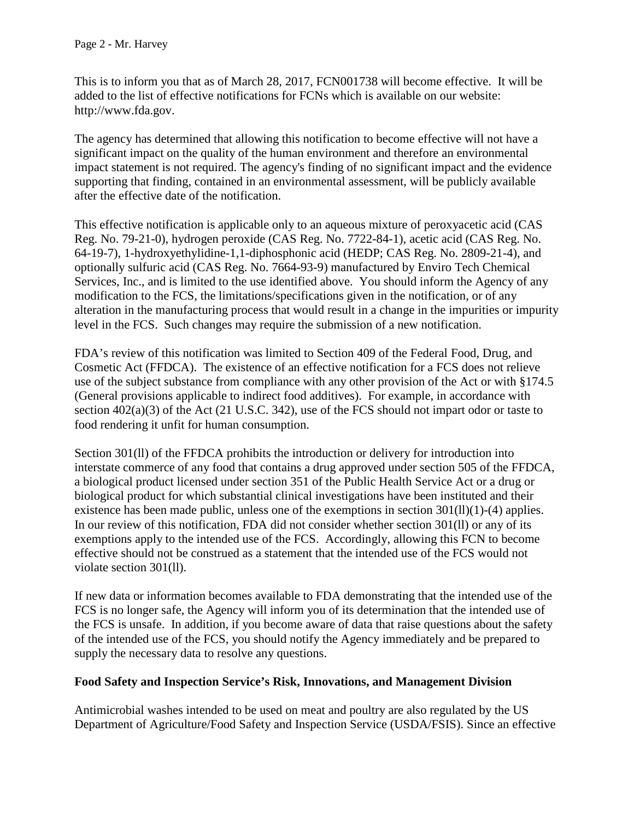This is to inform you that as of March 28, 2017, FCN001738 will become effective. It will be added to the list of effective notifications for FCNs which is available on our website: http://www.fda.gov.

The agency has determined that allowing this notification to become effective will not have a significant impact on the quality of the human environment and therefore an environmental impact statement is not required. The agency's finding of no significant impact and the evidence supporting that finding, contained in an environmental assessment, will be publicly available after the effective date of the notification.

This effective notification is applicable only to an aqueous mixture of peroxyacetic acid (CAS Reg. No. 79-21-0), hydrogen peroxide (CAS Reg. No. 7722-84-1), acetic acid (CAS Reg. No. 64-19-7), 1-hydroxyethylidine-1,1-diphosphonic acid (HEDP; CAS Reg. No. 2809-21-4), and optionally sulfuric acid (CAS Reg. No. 7664-93-9) manufactured by Enviro Tech Chemical Services, Inc., and is limited to the use identified above. You should inform the Agency of any modification to the FCS, the limitations/specifications given in the notification, or of any alteration in the manufacturing process that would result in a change in the impurities or impurity level in the FCS. Such changes may require the submission of a new notification.

FDA's review of this notification was limited to Section 409 of the Federal Food, Drug, and Cosmetic Act (FFDCA). The existence of an effective notification for a FCS does not relieve use of the subject substance from compliance with any other provision of the Act or with §174.5 (General provisions applicable to indirect food additives). For example, in accordance with section 402(a)(3) of the Act (21 U.S.C. 342), use of the FCS should not impart odor or taste to food rendering it unfit for human consumption.

Section 301(ll) of the FFDCA prohibits the introduction or delivery for introduction into interstate commerce of any food that contains a drug approved under section 505 of the FFDCA, a biological product licensed under section 351 of the Public Health Service Act or a drug or biological product for which substantial clinical investigations have been instituted and their existence has been made public, unless one of the exemptions in section  $301(11)(1)-(4)$  applies. In our review of this notification, FDA did not consider whether section 301(ll) or any of its exemptions apply to the intended use of the FCS. Accordingly, allowing this FCN to become effective should not be construed as a statement that the intended use of the FCS would not violate section 301(ll).

If new data or information becomes available to FDA demonstrating that the intended use of the FCS is no longer safe, the Agency will inform you of its determination that the intended use of the FCS is unsafe. In addition, if you become aware of data that raise questions about the safety of the intended use of the FCS, you should notify the Agency immediately and be prepared to supply the necessary data to resolve any questions.

# **Food Safety and Inspection Service's Risk, Innovations, and Management Division**

Antimicrobial washes intended to be used on meat and poultry are also regulated by the US Department of Agriculture/Food Safety and Inspection Service (USDA/FSIS). Since an effective